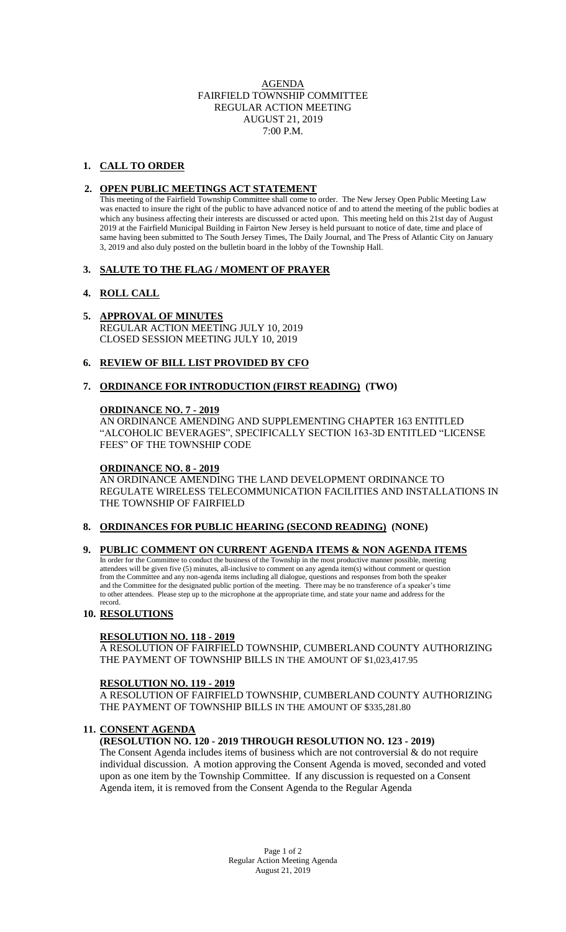AGENDA FAIRFIELD TOWNSHIP COMMITTEE REGULAR ACTION MEETING AUGUST 21, 2019 7:00 P.M.

# **1. CALL TO ORDER**

## **2. OPEN PUBLIC MEETINGS ACT STATEMENT**

This meeting of the Fairfield Township Committee shall come to order. The New Jersey Open Public Meeting Law was enacted to insure the right of the public to have advanced notice of and to attend the meeting of the public bodies at which any business affecting their interests are discussed or acted upon. This meeting held on this 21st day of August 2019 at the Fairfield Municipal Building in Fairton New Jersey is held pursuant to notice of date, time and place of same having been submitted to The South Jersey Times, The Daily Journal, and The Press of Atlantic City on January 3, 2019 and also duly posted on the bulletin board in the lobby of the Township Hall.

## **3. SALUTE TO THE FLAG / MOMENT OF PRAYER**

# **4. ROLL CALL**

## **5. APPROVAL OF MINUTES**

REGULAR ACTION MEETING JULY 10, 2019 CLOSED SESSION MEETING JULY 10, 2019

## **6. REVIEW OF BILL LIST PROVIDED BY CFO**

## **7. ORDINANCE FOR INTRODUCTION (FIRST READING) (TWO)**

## **ORDINANCE NO. 7 - 2019**

AN ORDINANCE AMENDING AND SUPPLEMENTING CHAPTER 163 ENTITLED "ALCOHOLIC BEVERAGES", SPECIFICALLY SECTION 163-3D ENTITLED "LICENSE FEES" OF THE TOWNSHIP CODE

## **ORDINANCE NO. 8 - 2019**

AN ORDINANCE AMENDING THE LAND DEVELOPMENT ORDINANCE TO REGULATE WIRELESS TELECOMMUNICATION FACILITIES AND INSTALLATIONS IN THE TOWNSHIP OF FAIRFIELD

# **8. ORDINANCES FOR PUBLIC HEARING (SECOND READING) (NONE)**

## **9. PUBLIC COMMENT ON CURRENT AGENDA ITEMS & NON AGENDA ITEMS**

 In order for the Committee to conduct the business of the Township in the most productive manner possible, meeting attendees will be given five (5) minutes, all-inclusive to comment on any agenda item(s) without comment or question from the Committee and any non-agenda items including all dialogue, questions and responses from both the speaker and the Committee for the designated public portion of the meeting. There may be no transference of a speaker's time to other attendees. Please step up to the microphone at the appropriate time, and state your name and address for the record.

# **10. RESOLUTIONS**

## **RESOLUTION NO. 118 - 2019**

A RESOLUTION OF FAIRFIELD TOWNSHIP, CUMBERLAND COUNTY AUTHORIZING THE PAYMENT OF TOWNSHIP BILLS IN THE AMOUNT OF \$1,023,417.95

## **RESOLUTION NO. 119 - 2019**

A RESOLUTION OF FAIRFIELD TOWNSHIP, CUMBERLAND COUNTY AUTHORIZING THE PAYMENT OF TOWNSHIP BILLS IN THE AMOUNT OF \$335,281.80

# **11. CONSENT AGENDA**

# **(RESOLUTION NO. 120 - 2019 THROUGH RESOLUTION NO. 123 - 2019)**

The Consent Agenda includes items of business which are not controversial & do not require individual discussion. A motion approving the Consent Agenda is moved, seconded and voted upon as one item by the Township Committee. If any discussion is requested on a Consent Agenda item, it is removed from the Consent Agenda to the Regular Agenda